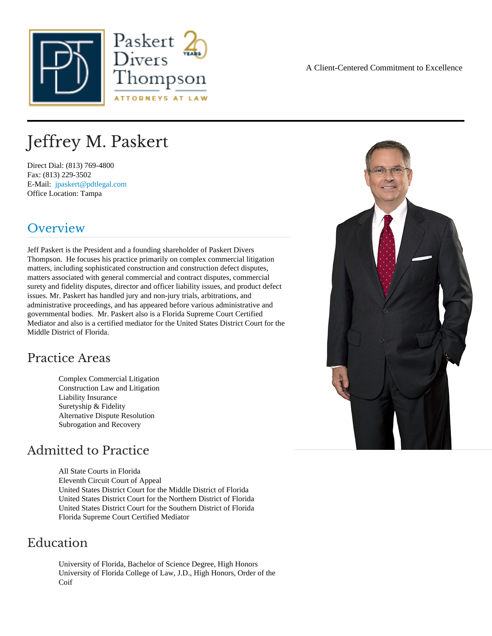# Jeffrey M. Paskert

Direct Dial: (813) 769-4800 Fax: (813) 229-3502 E-Mail: [jpaskert@pdtlegal.co](mailto:jpaskert@pdtlegal.com )m Office Location: Tampa

### Overview

Jeff Paskert is the President and a founding shareholder of Paskert Divers Thompson. He focuses his practice primarily on complex commercial litigation matters, including sophisticated construction and construction defect disputes, matters associated with general commercial and contract disputes, commercial surety and fidelity disputes, director and officer liability issues, and product defect issues. Mr. Paskert has handled jury and non-jury trials, arbitrations, and administrative proceedings, and has appeared before various administrative and governmental bodies. Mr. Paskert also is a Florida Supreme Court Certified Mediator and also is a certified mediator for the United States District Court for the Middle District of Florida.

### Practice Areas

Complex Commercial Litigation Construction Law and Litigation Liability Insurance Suretyship & Fidelity Alternative Dispute Resolution Subrogation and Recovery

### Admitted to Practice

All State Courts in Florida Eleventh Circuit Court of Appeal United States District Court for the Middle District of Florida United States District Court for the Northern District of Florida United States District Court for the Southern District of Florida Florida Supreme Court Certified Mediator

### Education

University of Florida, Bachelor of Science Degree, High Honors University of Florida College of Law, J.D., High Honors, Order of the Coif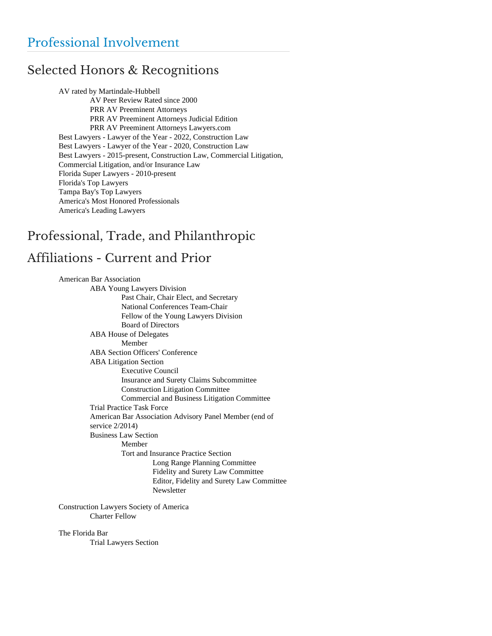## Selected Honors & Recognitions

AV rated by Martindale-Hubbell AV Peer Review Rated since 2000 PRR AV Preeminent Attorneys PRR AV Preeminent Attorneys Judicial Edition PRR AV Preeminent Attorneys Lawyers.com Best Lawyers - Lawyer of the Year - 2022, Construction Law Best Lawyers - Lawyer of the Year - 2020, Construction Law Best Lawyers - 2015-present, Construction Law, Commercial Litigation, Commercial Litigation, and/or Insurance Law Florida Super Lawyers - 2010-present Florida's Top Lawyers Tampa Bay's Top Lawyers America's Most Honored Professionals America's Leading Lawyers

# Professional, Trade, and Philanthropic Affiliations - Current and Prior

American Bar Association ABA Young Lawyers Division Past Chair, Chair Elect, and Secretary National Conferences Team-Chair Fellow of the Young Lawyers Division Board of Directors ABA House of Delegates Member ABA Section Officers' Conference ABA Litigation Section Executive Council Insurance and Surety Claims Subcommittee Construction Litigation Committee Commercial and Business Litigation Committee Trial Practice Task Force American Bar Association Advisory Panel Member (end of service 2/2014) Business Law Section Member Tort and Insurance Practice Section Long Range Planning Committee Fidelity and Surety Law Committee Editor, Fidelity and Surety Law Committee Newsletter

Construction Lawyers Society of America Charter Fellow

The Florida Bar

Trial Lawyers Section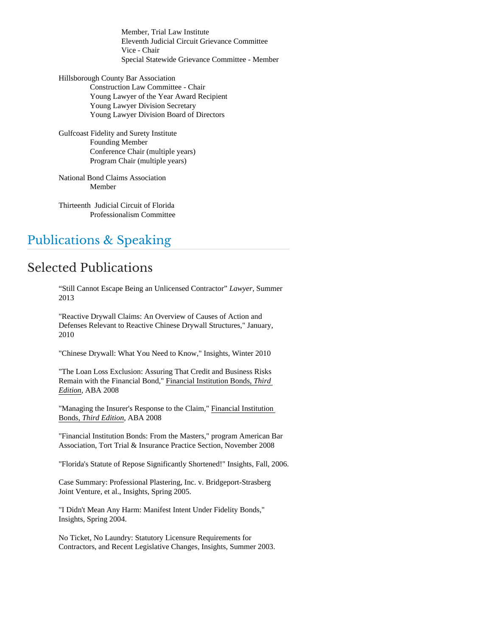Member, Trial Law Institute Eleventh Judicial Circuit Grievance Committee Vice - Chair Special Statewide Grievance Committee - Member

Hillsborough County Bar Association Construction Law Committee - Chair Young Lawyer of the Year Award Recipient Young Lawyer Division Secretary Young Lawyer Division Board of Directors

Gulfcoast Fidelity and Surety Institute Founding Member Conference Chair (multiple years) Program Chair (multiple years)

National Bond Claims Association Member

Thirteenth Judicial Circuit of Florida Professionalism Committee

## Publications & Speaking

## Selected Publications

"Still Cannot Escape Being an Unlicensed Contractor" *Lawyer*, Summer 2013

"Reactive Drywall Claims: An Overview of Causes of Action and Defenses Relevant to Reactive Chinese Drywall Structures," January, 2010

"Chinese Drywall: What You Need to Know," Insights, Winter 2010

"The Loan Loss Exclusion: Assuring That Credit and Business Risks Remain with the Financial Bond," Financial Institution Bonds, *Third Edition*, ABA 2008

"Managing the Insurer's Response to the Claim," Financial Institution Bonds, *Third Edition*, ABA 2008

"Financial Institution Bonds: From the Masters," program American Bar Association, Tort Trial & Insurance Practice Section, November 2008

"Florida's Statute of Repose Significantly Shortened!" Insights, Fall, 2006.

Case Summary: Professional Plastering, Inc. v. Bridgeport-Strasberg Joint Venture, et al., Insights, Spring 2005.

"I Didn't Mean Any Harm: Manifest Intent Under Fidelity Bonds," Insights, Spring 2004.

No Ticket, No Laundry: Statutory Licensure Requirements for Contractors, and Recent Legislative Changes, Insights, Summer 2003.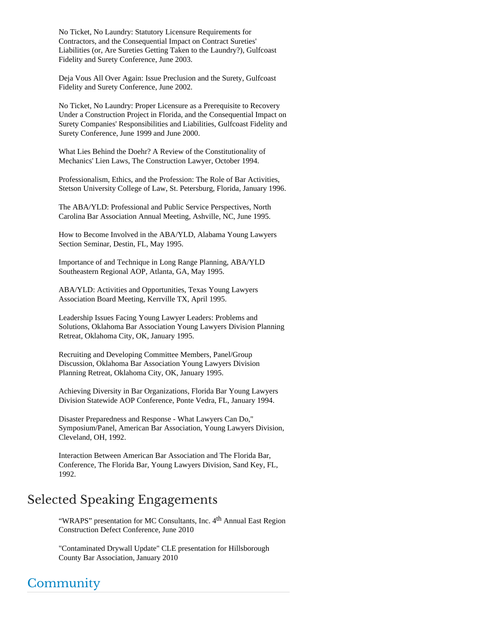No Ticket, No Laundry: Statutory Licensure Requirements for Contractors, and the Consequential Impact on Contract Sureties' Liabilities (or, Are Sureties Getting Taken to the Laundry?), Gulfcoast Fidelity and Surety Conference, June 2003.

Deja Vous All Over Again: Issue Preclusion and the Surety, Gulfcoast Fidelity and Surety Conference, June 2002.

No Ticket, No Laundry: Proper Licensure as a Prerequisite to Recovery Under a Construction Project in Florida, and the Consequential Impact on Surety Companies' Responsibilities and Liabilities, Gulfcoast Fidelity and Surety Conference, June 1999 and June 2000.

What Lies Behind the Doehr? A Review of the Constitutionality of Mechanics' Lien Laws, The Construction Lawyer, October 1994.

Professionalism, Ethics, and the Profession: The Role of Bar Activities, Stetson University College of Law, St. Petersburg, Florida, January 1996.

The ABA/YLD: Professional and Public Service Perspectives, North Carolina Bar Association Annual Meeting, Ashville, NC, June 1995.

How to Become Involved in the ABA/YLD, Alabama Young Lawyers Section Seminar, Destin, FL, May 1995.

Importance of and Technique in Long Range Planning, ABA/YLD Southeastern Regional AOP, Atlanta, GA, May 1995.

ABA/YLD: Activities and Opportunities, Texas Young Lawyers Association Board Meeting, Kerrville TX, April 1995.

Leadership Issues Facing Young Lawyer Leaders: Problems and Solutions, Oklahoma Bar Association Young Lawyers Division Planning Retreat, Oklahoma City, OK, January 1995.

Recruiting and Developing Committee Members, Panel/Group Discussion, Oklahoma Bar Association Young Lawyers Division Planning Retreat, Oklahoma City, OK, January 1995.

Achieving Diversity in Bar Organizations, Florida Bar Young Lawyers Division Statewide AOP Conference, Ponte Vedra, FL, January 1994.

Disaster Preparedness and Response - What Lawyers Can Do," Symposium/Panel, American Bar Association, Young Lawyers Division, Cleveland, OH, 1992.

Interaction Between American Bar Association and The Florida Bar, Conference, The Florida Bar, Young Lawyers Division, Sand Key, FL, 1992.

## Selected Speaking Engagements

"WRAPS" presentation for MC Consultants, Inc. 4<sup>th</sup> Annual East Region Construction Defect Conference, June 2010

"Contaminated Drywall Update" CLE presentation for Hillsborough County Bar Association, January 2010

# **Community**